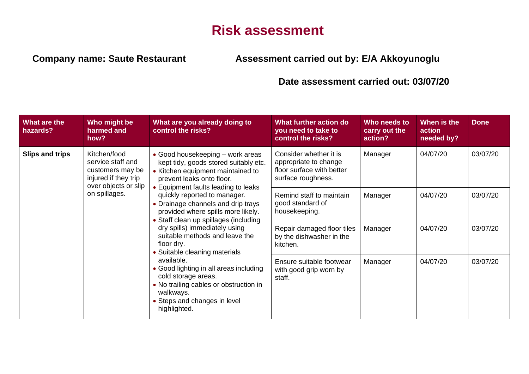## **Risk assessment**

## **Company name: Saute Restaurant Assessment carried out by: E/A Akkoyunoglu**

## **Date assessment carried out: 03/07/20**

| What are the<br>hazards? | Who might be<br>harmed and<br>how?                                                                             | What are you already doing to<br>control the risks?                                                                                                                                | What further action do<br>you need to take to<br>control the risks?                                | Who needs to<br>carry out the<br>action? | When is the<br>action<br>needed by? | <b>Done</b> |
|--------------------------|----------------------------------------------------------------------------------------------------------------|------------------------------------------------------------------------------------------------------------------------------------------------------------------------------------|----------------------------------------------------------------------------------------------------|------------------------------------------|-------------------------------------|-------------|
| <b>Slips and trips</b>   | Kitchen/food<br>service staff and<br>customers may be<br>injured if they trip<br>over objects or slip          | • Good housekeeping – work areas<br>kept tidy, goods stored suitably etc.<br>• Kitchen equipment maintained to<br>prevent leaks onto floor.<br>• Equipment faults leading to leaks | Consider whether it is<br>appropriate to change<br>floor surface with better<br>surface roughness. | Manager                                  | 04/07/20                            | 03/07/20    |
| on spillages.            |                                                                                                                | quickly reported to manager.<br>• Drainage channels and drip trays<br>provided where spills more likely.<br>• Staff clean up spillages (including                                  | Remind staff to maintain<br>good standard of<br>housekeeping.                                      | Manager                                  | 04/07/20                            | 03/07/20    |
|                          | dry spills) immediately using<br>suitable methods and leave the<br>floor dry.<br>• Suitable cleaning materials | Repair damaged floor tiles<br>by the dishwasher in the<br>kitchen.                                                                                                                 | Manager                                                                                            | 04/07/20                                 | 03/07/20                            |             |
|                          |                                                                                                                | available.<br>• Good lighting in all areas including<br>cold storage areas.<br>• No trailing cables or obstruction in<br>walkways.<br>• Steps and changes in level<br>highlighted. | Ensure suitable footwear<br>with good grip worn by<br>staff.                                       | Manager                                  | 04/07/20                            | 03/07/20    |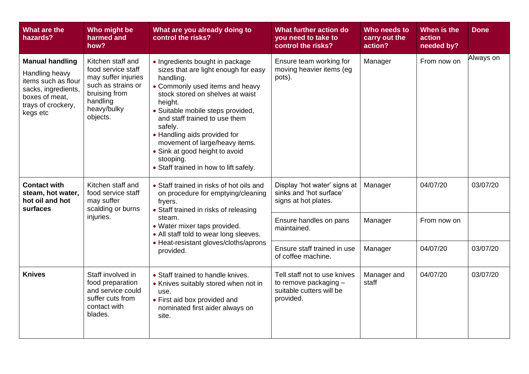| What are the<br>hazards?                                                                                                                   | Who might be<br>harmed and<br>how?                                                                                                           | What are you already doing to<br>control the risks?                                                                                                                                                                                                                                                                                                                                                                | What further action do<br>you need to take to<br>control the risks?                            | Who needs to<br>carry out the<br>action? | When is the<br>action<br>needed by? | <b>Done</b> |
|--------------------------------------------------------------------------------------------------------------------------------------------|----------------------------------------------------------------------------------------------------------------------------------------------|--------------------------------------------------------------------------------------------------------------------------------------------------------------------------------------------------------------------------------------------------------------------------------------------------------------------------------------------------------------------------------------------------------------------|------------------------------------------------------------------------------------------------|------------------------------------------|-------------------------------------|-------------|
| <b>Manual handling</b><br>Handling heavy<br>items such as flour<br>sacks, ingredients,<br>boxes of meat,<br>trays of crockery,<br>kegs etc | Kitchen staff and<br>food service staff<br>may suffer injuries<br>such as strains or<br>bruising from<br>handling<br>heavy/bulky<br>objects. | • Ingredients bought in package<br>sizes that are light enough for easy<br>handling.<br>• Commonly used items and heavy<br>stock stored on shelves at waist<br>height.<br>· Suitable mobile steps provided,<br>and staff trained to use them<br>safely.<br>• Handling aids provided for<br>movement of large/heavy items.<br>• Sink at good height to avoid<br>stooping.<br>• Staff trained in how to lift safely. | Ensure team working for<br>moving heavier items (eg<br>pots).                                  | Manager                                  | From now on                         | Always on   |
| <b>Contact with</b><br>steam, hot water,<br>hot oil and hot<br>surfaces                                                                    | Kitchen staff and<br>food service staff<br>may suffer<br>scalding or burns                                                                   | • Staff trained in risks of hot oils and<br>on procedure for emptying/cleaning<br>fryers.<br>• Staff trained in risks of releasing<br>steam.<br>• Water mixer taps provided.<br>• All staff told to wear long sleeves.<br>• Heat-resistant gloves/cloths/aprons<br>provided.                                                                                                                                       | Display 'hot water' signs at<br>sinks and 'hot surface'<br>signs at hot plates.                | Manager                                  | 04/07/20                            | 03/07/20    |
| injuries.                                                                                                                                  |                                                                                                                                              |                                                                                                                                                                                                                                                                                                                                                                                                                    | Ensure handles on pans<br>maintained.                                                          | Manager                                  | From now on                         |             |
|                                                                                                                                            |                                                                                                                                              |                                                                                                                                                                                                                                                                                                                                                                                                                    | Ensure staff trained in use<br>of coffee machine.                                              | Manager                                  | 04/07/20                            | 03/07/20    |
| <b>Knives</b>                                                                                                                              | Staff involved in<br>food preparation<br>and service could<br>suffer cuts from<br>contact with<br>blades.                                    | • Staff trained to handle knives.<br>• Knives suitably stored when not in<br>use.<br>• First aid box provided and<br>nominated first aider always on<br>site.                                                                                                                                                                                                                                                      | Tell staff not to use knives<br>to remove packaging -<br>suitable cutters will be<br>provided. | Manager and<br>staff                     | 04/07/20                            | 03/07/20    |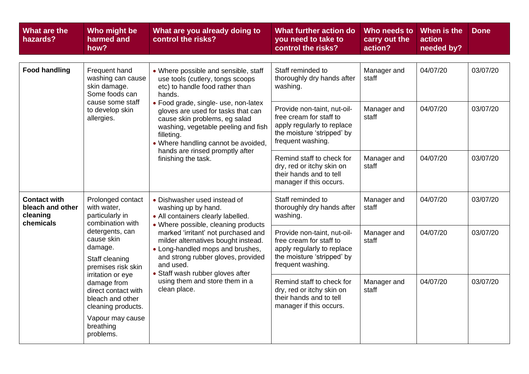| What are the<br>hazards?                                         | Who might be<br>harmed and<br>how?                                                                                        | What are you already doing to<br>control the risks?                                                                                                                                                                                                                                                                                                                                        | What further action do<br>you need to take to<br>control the risks?                                                                     | Who needs to<br>carry out the<br>action? | When is the<br>action<br>needed by? | <b>Done</b> |
|------------------------------------------------------------------|---------------------------------------------------------------------------------------------------------------------------|--------------------------------------------------------------------------------------------------------------------------------------------------------------------------------------------------------------------------------------------------------------------------------------------------------------------------------------------------------------------------------------------|-----------------------------------------------------------------------------------------------------------------------------------------|------------------------------------------|-------------------------------------|-------------|
| <b>Food handling</b>                                             | Frequent hand<br>washing can cause<br>skin damage.<br>Some foods can<br>cause some staff<br>to develop skin<br>allergies. | • Where possible and sensible, staff<br>use tools (cutlery, tongs scoops<br>etc) to handle food rather than<br>hands.<br>• Food grade, single- use, non-latex<br>gloves are used for tasks that can<br>cause skin problems, eg salad<br>washing, vegetable peeling and fish<br>filleting.<br>• Where handling cannot be avoided,<br>hands are rinsed promptly after<br>finishing the task. | Staff reminded to<br>thoroughly dry hands after<br>washing.                                                                             | Manager and<br>staff                     | 04/07/20                            | 03/07/20    |
|                                                                  |                                                                                                                           |                                                                                                                                                                                                                                                                                                                                                                                            | Provide non-taint, nut-oil-<br>free cream for staff to<br>apply regularly to replace<br>the moisture 'stripped' by<br>frequent washing. | Manager and<br>staff                     | 04/07/20                            | 03/07/20    |
|                                                                  |                                                                                                                           |                                                                                                                                                                                                                                                                                                                                                                                            | Remind staff to check for<br>dry, red or itchy skin on<br>their hands and to tell<br>manager if this occurs.                            | Manager and<br>staff                     | 04/07/20                            | 03/07/20    |
| <b>Contact with</b><br>bleach and other<br>cleaning<br>chemicals | Prolonged contact<br>with water,<br>particularly in<br>combination with                                                   | • Dishwasher used instead of<br>washing up by hand.<br>• All containers clearly labelled.                                                                                                                                                                                                                                                                                                  | Staff reminded to<br>thoroughly dry hands after<br>washing.                                                                             | Manager and<br>staff                     | 04/07/20                            | 03/07/20    |
|                                                                  | detergents, can<br>cause skin<br>damage.<br>Staff cleaning<br>premises risk skin                                          | • Where possible, cleaning products<br>marked 'irritant' not purchased and<br>milder alternatives bought instead.<br>• Long-handled mops and brushes,<br>and strong rubber gloves, provided<br>and used.                                                                                                                                                                                   | Provide non-taint, nut-oil-<br>free cream for staff to<br>apply regularly to replace<br>the moisture 'stripped' by<br>frequent washing. | Manager and<br>staff                     | 04/07/20                            | 03/07/20    |
|                                                                  | irritation or eye<br>damage from<br>direct contact with<br>bleach and other<br>cleaning products.                         | • Staff wash rubber gloves after<br>using them and store them in a<br>clean place.                                                                                                                                                                                                                                                                                                         | Remind staff to check for<br>dry, red or itchy skin on<br>their hands and to tell<br>manager if this occurs.                            | Manager and<br>staff                     | 04/07/20                            | 03/07/20    |
|                                                                  | Vapour may cause<br>breathing<br>problems.                                                                                |                                                                                                                                                                                                                                                                                                                                                                                            |                                                                                                                                         |                                          |                                     |             |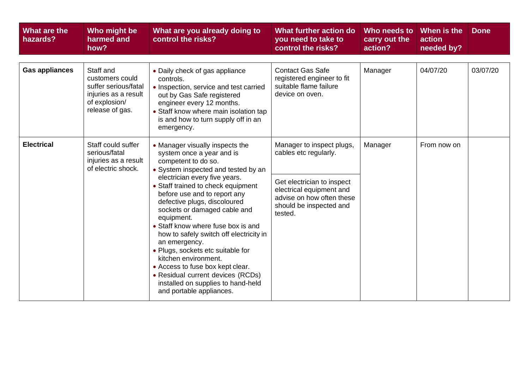| What are the<br>hazards? | Who might be<br>harmed and<br>how?                                                                               | What are you already doing to<br>control the risks?                                                                                                                                                                                                                                                                                                                                                                                                                                                                                                                                                                       | What further action do<br>you need to take to<br>control the risks?                                                                                                             | Who needs to<br>carry out the<br>action? | When is the<br>action<br>needed by? | <b>Done</b> |
|--------------------------|------------------------------------------------------------------------------------------------------------------|---------------------------------------------------------------------------------------------------------------------------------------------------------------------------------------------------------------------------------------------------------------------------------------------------------------------------------------------------------------------------------------------------------------------------------------------------------------------------------------------------------------------------------------------------------------------------------------------------------------------------|---------------------------------------------------------------------------------------------------------------------------------------------------------------------------------|------------------------------------------|-------------------------------------|-------------|
| <b>Gas appliances</b>    | Staff and<br>customers could<br>suffer serious/fatal<br>injuries as a result<br>of explosion/<br>release of gas. | • Daily check of gas appliance<br>controls.<br>• Inspection, service and test carried<br>out by Gas Safe registered<br>engineer every 12 months.<br>• Staff know where main isolation tap<br>is and how to turn supply off in an<br>emergency.                                                                                                                                                                                                                                                                                                                                                                            | <b>Contact Gas Safe</b><br>registered engineer to fit<br>suitable flame failure<br>device on oven.                                                                              | Manager                                  | 04/07/20                            | 03/07/20    |
| <b>Electrical</b>        | Staff could suffer<br>serious/fatal<br>injuries as a result<br>of electric shock.                                | • Manager visually inspects the<br>system once a year and is<br>competent to do so.<br>• System inspected and tested by an<br>electrician every five years.<br>• Staff trained to check equipment<br>before use and to report any<br>defective plugs, discoloured<br>sockets or damaged cable and<br>equipment.<br>• Staff know where fuse box is and<br>how to safely switch off electricity in<br>an emergency.<br>• Plugs, sockets etc suitable for<br>kitchen environment.<br>• Access to fuse box kept clear.<br>• Residual current devices (RCDs)<br>installed on supplies to hand-held<br>and portable appliances. | Manager to inspect plugs,<br>cables etc regularly.<br>Get electrician to inspect<br>electrical equipment and<br>advise on how often these<br>should be inspected and<br>tested. | Manager                                  | From now on                         |             |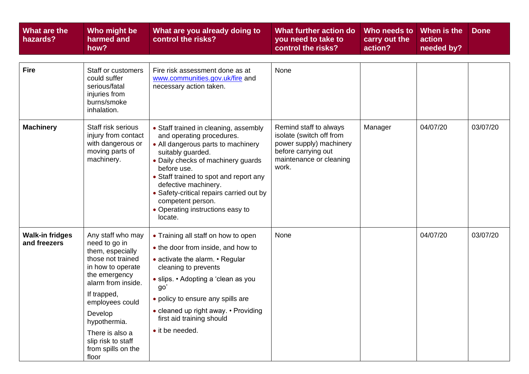| What are the<br>hazards?               | Who might be<br>harmed and<br>how?                                                                                                                                                                                                                                           | What are you already doing to<br>control the risks?                                                                                                                                                                                                                                                                                                                  | What further action do<br>you need to take to<br>control the risks?                                                                      | Who needs to<br>carry out the<br>action? | When is the<br>action<br>needed by? | <b>Done</b> |
|----------------------------------------|------------------------------------------------------------------------------------------------------------------------------------------------------------------------------------------------------------------------------------------------------------------------------|----------------------------------------------------------------------------------------------------------------------------------------------------------------------------------------------------------------------------------------------------------------------------------------------------------------------------------------------------------------------|------------------------------------------------------------------------------------------------------------------------------------------|------------------------------------------|-------------------------------------|-------------|
| <b>Fire</b>                            | Staff or customers<br>could suffer<br>serious/fatal<br>injuries from<br>burns/smoke<br>inhalation.                                                                                                                                                                           | Fire risk assessment done as at<br>www.communities.gov.uk/fire and<br>necessary action taken.                                                                                                                                                                                                                                                                        | None                                                                                                                                     |                                          |                                     |             |
| <b>Machinery</b>                       | Staff risk serious<br>injury from contact<br>with dangerous or<br>moving parts of<br>machinery.                                                                                                                                                                              | • Staff trained in cleaning, assembly<br>and operating procedures.<br>• All dangerous parts to machinery<br>suitably guarded.<br>• Daily checks of machinery guards<br>before use.<br>• Staff trained to spot and report any<br>defective machinery.<br>• Safety-critical repairs carried out by<br>competent person.<br>• Operating instructions easy to<br>locate. | Remind staff to always<br>isolate (switch off from<br>power supply) machinery<br>before carrying out<br>maintenance or cleaning<br>work. | Manager                                  | 04/07/20                            | 03/07/20    |
| <b>Walk-in fridges</b><br>and freezers | Any staff who may<br>need to go in<br>them, especially<br>those not trained<br>in how to operate<br>the emergency<br>alarm from inside.<br>If trapped,<br>employees could<br>Develop<br>hypothermia.<br>There is also a<br>slip risk to staff<br>from spills on the<br>floor | • Training all staff on how to open<br>• the door from inside, and how to<br>• activate the alarm. • Regular<br>cleaning to prevents<br>• slips. • Adopting a 'clean as you<br>go'<br>• policy to ensure any spills are<br>• cleaned up right away. • Providing<br>first aid training should<br>• it be needed.                                                      | None                                                                                                                                     |                                          | 04/07/20                            | 03/07/20    |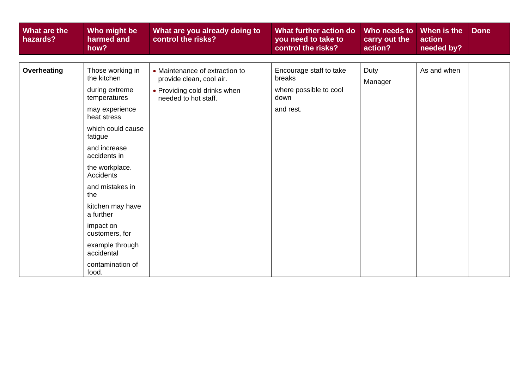| What are the<br>hazards? | Who might be<br>harmed and<br>how? | What are you already doing to<br>control the risks?        | What further action do<br>you need to take to<br>control the risks? | Who needs to<br>carry out the<br>action? | When is the<br>action<br>needed by? | <b>Done</b> |
|--------------------------|------------------------------------|------------------------------------------------------------|---------------------------------------------------------------------|------------------------------------------|-------------------------------------|-------------|
|                          |                                    |                                                            |                                                                     |                                          |                                     |             |
| <b>Overheating</b>       | Those working in<br>the kitchen    | • Maintenance of extraction to<br>provide clean, cool air. | Encourage staff to take<br>breaks                                   | Duty<br>Manager                          | As and when                         |             |
|                          | during extreme<br>temperatures     | • Providing cold drinks when<br>needed to hot staff.       | where possible to cool<br>down                                      |                                          |                                     |             |
|                          | may experience<br>heat stress      |                                                            | and rest.                                                           |                                          |                                     |             |
|                          | which could cause<br>fatigue       |                                                            |                                                                     |                                          |                                     |             |
|                          | and increase<br>accidents in       |                                                            |                                                                     |                                          |                                     |             |
|                          | the workplace.<br>Accidents        |                                                            |                                                                     |                                          |                                     |             |
|                          | and mistakes in<br>the             |                                                            |                                                                     |                                          |                                     |             |
|                          | kitchen may have<br>a further      |                                                            |                                                                     |                                          |                                     |             |
|                          | impact on<br>customers, for        |                                                            |                                                                     |                                          |                                     |             |
|                          | example through<br>accidental      |                                                            |                                                                     |                                          |                                     |             |
|                          | contamination of<br>food.          |                                                            |                                                                     |                                          |                                     |             |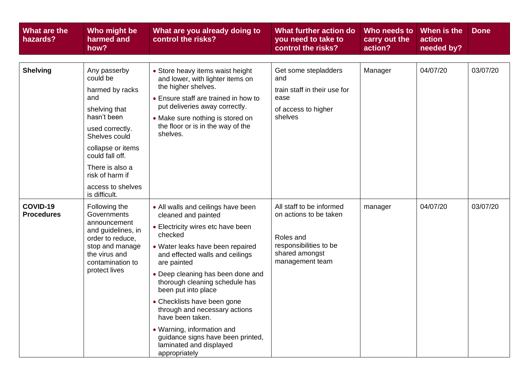| What are the<br>hazards?      | Who might be<br>harmed and<br>how?                                                                                                                                                                                                         | What are you already doing to<br>control the risks?                                                                                                                                                                                                                                                                                                                                                                                                                                              | What further action do<br>you need to take to<br>control the risks?                                                            | Who needs to<br>carry out the<br>action? | When is the<br>action<br>needed by? | <b>Done</b> |
|-------------------------------|--------------------------------------------------------------------------------------------------------------------------------------------------------------------------------------------------------------------------------------------|--------------------------------------------------------------------------------------------------------------------------------------------------------------------------------------------------------------------------------------------------------------------------------------------------------------------------------------------------------------------------------------------------------------------------------------------------------------------------------------------------|--------------------------------------------------------------------------------------------------------------------------------|------------------------------------------|-------------------------------------|-------------|
| <b>Shelving</b>               | Any passerby<br>could be<br>harmed by racks<br>and<br>shelving that<br>hasn't been<br>used correctly.<br>Shelves could<br>collapse or items<br>could fall off.<br>There is also a<br>risk of harm if<br>access to shelves<br>is difficult. | • Store heavy items waist height<br>and lower, with lighter items on<br>the higher shelves.<br>• Ensure staff are trained in how to<br>put deliveries away correctly.<br>• Make sure nothing is stored on<br>the floor or is in the way of the<br>shelves.                                                                                                                                                                                                                                       | Get some stepladders<br>and<br>train staff in their use for<br>ease<br>of access to higher<br>shelves                          | Manager                                  | 04/07/20                            | 03/07/20    |
| COVID-19<br><b>Procedures</b> | Following the<br>Governments<br>announcement<br>and guidelines, in<br>order to reduce,<br>stop and manage<br>the virus and<br>contamination to<br>protect lives                                                                            | • All walls and ceilings have been<br>cleaned and painted<br>• Electricity wires etc have been<br>checked<br>• Water leaks have been repaired<br>and effected walls and ceilings<br>are painted<br>• Deep cleaning has been done and<br>thorough cleaning schedule has<br>been put into place<br>• Checklists have been gone<br>through and necessary actions<br>have been taken.<br>• Warning, information and<br>guidance signs have been printed,<br>laminated and displayed<br>appropriately | All staff to be informed<br>on actions to be taken<br>Roles and<br>responsibilities to be<br>shared amongst<br>management team | manager                                  | 04/07/20                            | 03/07/20    |